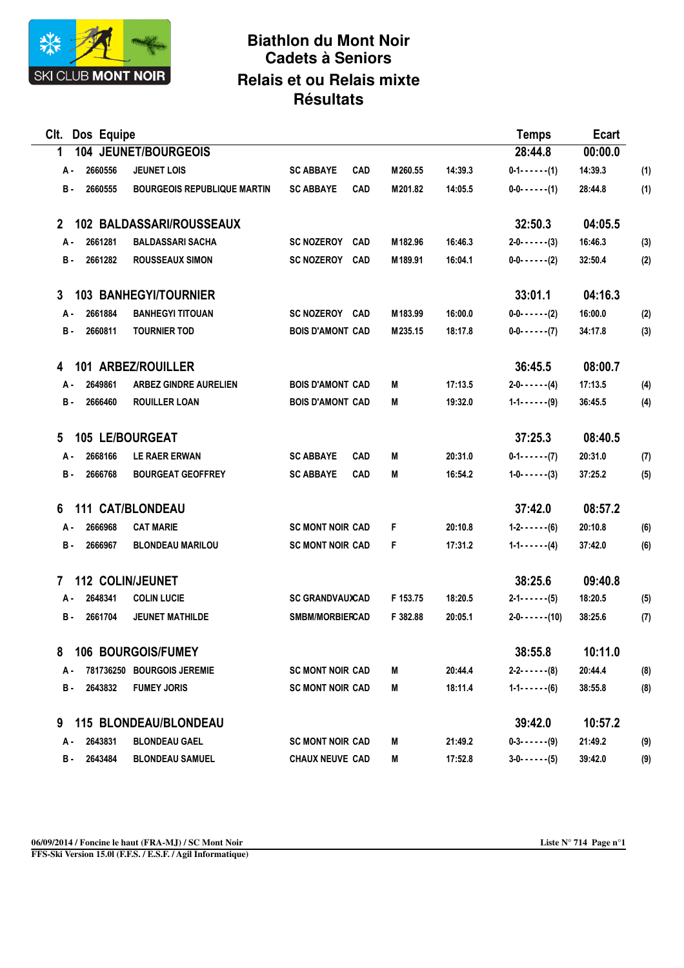

## **Biathlon du Mont Noir Cadets à Seniors Relais et ou Relais mixte Résultats**

| Clt. Dos Equipe                    |                   |                                                                                                                                                                                                                                                                                                                                                                                                          |         | <b>Temps</b>           | Ecart   |     |
|------------------------------------|-------------------|----------------------------------------------------------------------------------------------------------------------------------------------------------------------------------------------------------------------------------------------------------------------------------------------------------------------------------------------------------------------------------------------------------|---------|------------------------|---------|-----|
| 104 JEUNET/BOURGEOIS               |                   |                                                                                                                                                                                                                                                                                                                                                                                                          |         | 28:44.8                | 00:00.0 |     |
| <b>JEUNET LOIS</b>                 | <b>SC ABBAYE</b>  | M260.55                                                                                                                                                                                                                                                                                                                                                                                                  | 14:39.3 | $0 - 1 - - - - - (1)$  | 14:39.3 | (1) |
| <b>BOURGEOIS REPUBLIQUE MARTIN</b> | <b>SC ABBAYE</b>  | M201.82                                                                                                                                                                                                                                                                                                                                                                                                  | 14:05.5 | $0 - 0 - - - - - (1)$  | 28:44.8 | (1) |
| <b>102 BALDASSARI/ROUSSEAUX</b>    |                   |                                                                                                                                                                                                                                                                                                                                                                                                          |         | 32:50.3                | 04:05.5 |     |
| <b>BALDASSARI SACHA</b>            | <b>SC NOZEROY</b> | M182.96                                                                                                                                                                                                                                                                                                                                                                                                  | 16:46.3 | $2 - 0 - - - - - (3)$  | 16:46.3 | (3) |
| <b>ROUSSEAUX SIMON</b>             | <b>SC NOZEROY</b> | M189.91                                                                                                                                                                                                                                                                                                                                                                                                  | 16:04.1 | $0 - 0 - 0 - 1$ (2)    | 32:50.4 | (2) |
| <b>103 BANHEGYI/TOURNIER</b>       |                   |                                                                                                                                                                                                                                                                                                                                                                                                          |         | 33:01.1                | 04:16.3 |     |
| <b>BANHEGYI TITOUAN</b>            |                   | M183.99                                                                                                                                                                                                                                                                                                                                                                                                  | 16:00.0 | $0-0-0-0$              | 16:00.0 | (2) |
| <b>TOURNIER TOD</b>                |                   | M235.15                                                                                                                                                                                                                                                                                                                                                                                                  | 18:17.8 | $0 - 0 - - - - - (7)$  | 34:17.8 | (3) |
| 101 ARBEZ/ROUILLER                 |                   |                                                                                                                                                                                                                                                                                                                                                                                                          |         | 36:45.5                | 08:00.7 |     |
| <b>ARBEZ GINDRE AURELIEN</b>       |                   | M                                                                                                                                                                                                                                                                                                                                                                                                        | 17:13.5 | $2 - 0 - - - - - (4)$  | 17:13.5 | (4) |
| <b>ROUILLER LOAN</b>               |                   | M                                                                                                                                                                                                                                                                                                                                                                                                        | 19:32.0 | $1 - 1 - \cdots - (9)$ | 36:45.5 | (4) |
| 105 LE/BOURGEAT                    |                   |                                                                                                                                                                                                                                                                                                                                                                                                          |         | 37:25.3                | 08:40.5 |     |
| <b>LE RAER ERWAN</b>               | <b>SC ABBAYE</b>  | M                                                                                                                                                                                                                                                                                                                                                                                                        | 20:31.0 | $0-1-(-1)$             | 20:31.0 | (7) |
| <b>BOURGEAT GEOFFREY</b>           | <b>SC ABBAYE</b>  | М                                                                                                                                                                                                                                                                                                                                                                                                        | 16:54.2 | $1 - 0 - 1 - 1$ (3)    | 37:25.2 | (5) |
| <b>111 CAT/BLONDEAU</b>            |                   |                                                                                                                                                                                                                                                                                                                                                                                                          |         | 37:42.0                | 08:57.2 |     |
| <b>CAT MARIE</b>                   |                   | F                                                                                                                                                                                                                                                                                                                                                                                                        | 20:10.8 | $1 - 2 - - - - (6)$    | 20:10.8 | (6) |
| <b>BLONDEAU MARILOU</b>            |                   | F                                                                                                                                                                                                                                                                                                                                                                                                        | 17:31.2 | $1 - 1 - \cdots - (4)$ | 37:42.0 | (6) |
| <b>112 COLIN/JEUNET</b>            |                   |                                                                                                                                                                                                                                                                                                                                                                                                          |         | 38:25.6                | 09:40.8 |     |
| <b>COLIN LUCIE</b>                 |                   | F 153.75                                                                                                                                                                                                                                                                                                                                                                                                 | 18:20.5 | $2 - 1 - - - - (5)$    | 18:20.5 | (5) |
| <b>JEUNET MATHILDE</b>             |                   | F 382.88                                                                                                                                                                                                                                                                                                                                                                                                 | 20:05.1 | $2 - 0 - 1 - (10)$     | 38:25.6 | (7) |
| 106 BOURGOIS/FUMEY                 |                   |                                                                                                                                                                                                                                                                                                                                                                                                          |         | 38:55.8                | 10:11.0 |     |
| 781736250 BOURGOIS JEREMIE         |                   | M                                                                                                                                                                                                                                                                                                                                                                                                        | 20:44.4 | $2 - 2 - 7 - 6$        | 20:44.4 | (8) |
| <b>FUMEY JORIS</b>                 |                   | M                                                                                                                                                                                                                                                                                                                                                                                                        | 18:11.4 | $1 - 1 - - - - (6)$    | 38:55.8 | (8) |
| <b>115 BLONDEAU/BLONDEAU</b>       |                   |                                                                                                                                                                                                                                                                                                                                                                                                          |         | 39:42.0                | 10:57.2 |     |
| <b>BLONDEAU GAEL</b>               |                   | M                                                                                                                                                                                                                                                                                                                                                                                                        | 21:49.2 | $0-3-(-1)$             | 21:49.2 | (9) |
| <b>BLONDEAU SAMUEL</b>             |                   | M                                                                                                                                                                                                                                                                                                                                                                                                        | 17:52.8 | $3 - 0 - 1 - 1$ (5)    | 39:42.0 | (9) |
|                                    |                   | <b>CAD</b><br><b>CAD</b><br><b>CAD</b><br><b>CAD</b><br>SC NOZEROY CAD<br><b>BOIS D'AMONT CAD</b><br><b>BOIS D'AMONT CAD</b><br><b>BOIS D'AMONT CAD</b><br><b>CAD</b><br><b>CAD</b><br><b>SC MONT NOIR CAD</b><br><b>SC MONT NOIR CAD</b><br><b>SC GRANDVAUXCAD</b><br><b>SMBM/MORBIERCAD</b><br><b>SC MONT NOIR CAD</b><br><b>SC MONT NOIR CAD</b><br><b>SC MONT NOIR CAD</b><br><b>CHAUX NEUVE CAD</b> |         |                        |         |     |